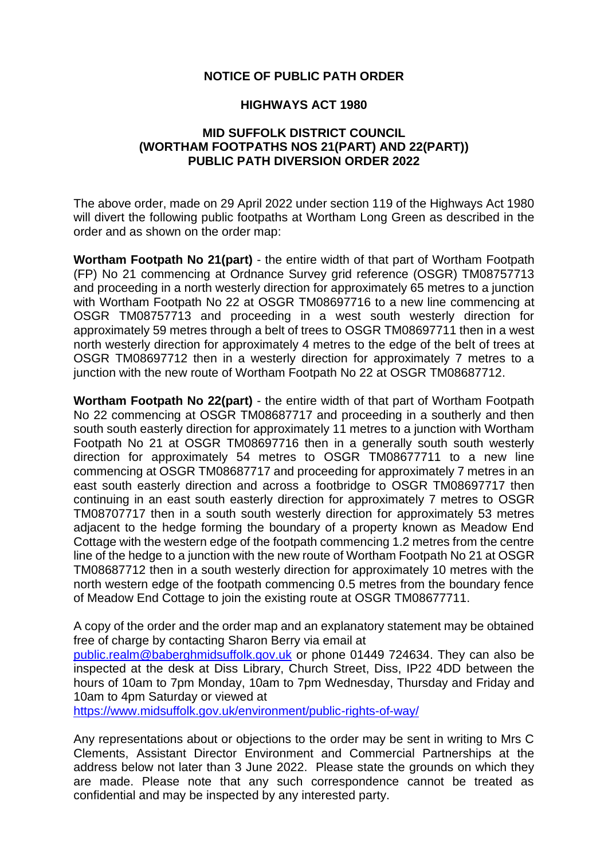## **NOTICE OF PUBLIC PATH ORDER**

## **HIGHWAYS ACT 1980**

## **MID SUFFOLK DISTRICT COUNCIL (WORTHAM FOOTPATHS NOS 21(PART) AND 22(PART)) PUBLIC PATH DIVERSION ORDER 2022**

The above order, made on 29 April 2022 under section 119 of the Highways Act 1980 will divert the following public footpaths at Wortham Long Green as described in the order and as shown on the order map:

**Wortham Footpath No 21(part)** - the entire width of that part of Wortham Footpath (FP) No 21 commencing at Ordnance Survey grid reference (OSGR) TM08757713 and proceeding in a north westerly direction for approximately 65 metres to a junction with Wortham Footpath No 22 at OSGR TM08697716 to a new line commencing at OSGR TM08757713 and proceeding in a west south westerly direction for approximately 59 metres through a belt of trees to OSGR TM08697711 then in a west north westerly direction for approximately 4 metres to the edge of the belt of trees at OSGR TM08697712 then in a westerly direction for approximately 7 metres to a junction with the new route of Wortham Footpath No 22 at OSGR TM08687712.

**Wortham Footpath No 22(part)** - the entire width of that part of Wortham Footpath No 22 commencing at OSGR TM08687717 and proceeding in a southerly and then south south easterly direction for approximately 11 metres to a junction with Wortham Footpath No 21 at OSGR TM08697716 then in a generally south south westerly direction for approximately 54 metres to OSGR TM08677711 to a new line commencing at OSGR TM08687717 and proceeding for approximately 7 metres in an east south easterly direction and across a footbridge to OSGR TM08697717 then continuing in an east south easterly direction for approximately 7 metres to OSGR TM08707717 then in a south south westerly direction for approximately 53 metres adjacent to the hedge forming the boundary of a property known as Meadow End Cottage with the western edge of the footpath commencing 1.2 metres from the centre line of the hedge to a junction with the new route of Wortham Footpath No 21 at OSGR TM08687712 then in a south westerly direction for approximately 10 metres with the north western edge of the footpath commencing 0.5 metres from the boundary fence of Meadow End Cottage to join the existing route at OSGR TM08677711.

A copy of the order and the order map and an explanatory statement may be obtained free of charge by contacting Sharon Berry via email at

[public.realm@baberghmidsuffolk.gov.uk](mailto:public.realm@baberghmidsuffolk.gov.uk) or phone 01449 724634. They can also be inspected at the desk at Diss Library, Church Street, Diss, IP22 4DD between the hours of 10am to 7pm Monday, 10am to 7pm Wednesday, Thursday and Friday and 10am to 4pm Saturday or viewed at

<https://www.midsuffolk.gov.uk/environment/public-rights-of-way/>

Any representations about or objections to the order may be sent in writing to Mrs C Clements, Assistant Director Environment and Commercial Partnerships at the address below not later than 3 June 2022. Please state the grounds on which they are made. Please note that any such correspondence cannot be treated as confidential and may be inspected by any interested party.